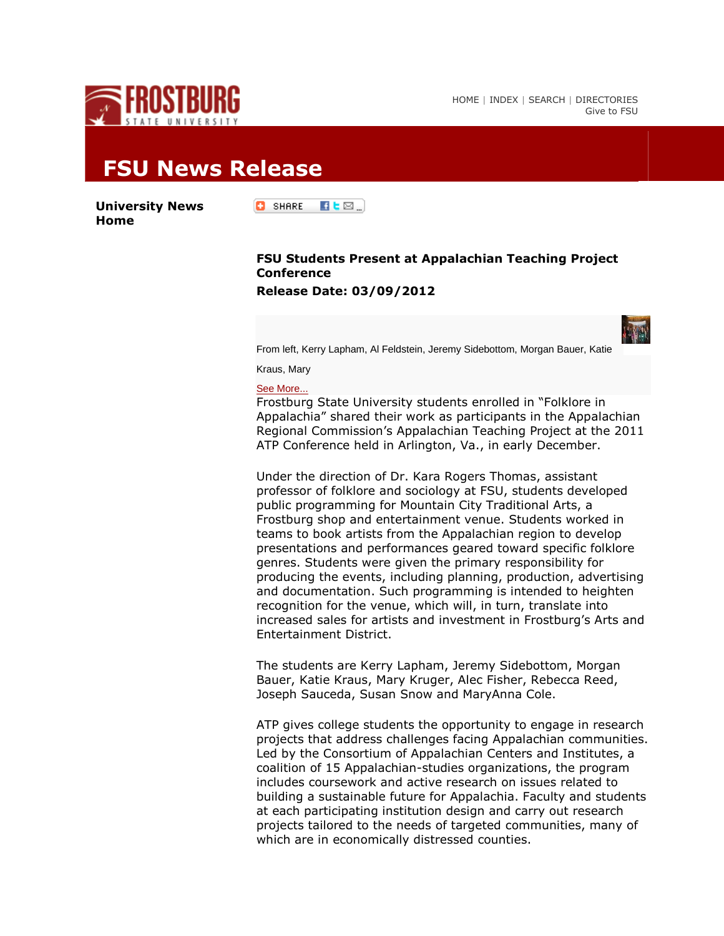

[HOME](http://www.frostburg.edu/) | [INDEX](http://www.frostburg.edu/index/) | [SEARCH](http://www.frostburg.edu/search) | [DIRECTORIES](http://www.frostburg.edu/directories.htm) [Give to FSU](http://www.frostburg.edu/foundation/ways-to-give/)

## **FSU News Release**

**[University News](http://www.frostburg.edu/news/index.cfm)  [Home](http://www.frostburg.edu/news/index.cfm)**

**C** SHARE  $\blacksquare$ L $\boxtimes$   $\blacksquare$ 

## **FSU Students Present at Appalachian Teaching Project Conference Release Date: 03/09/2012**

From left, Kerry Lapham, Al Feldstein, Jeremy Sidebottom, Morgan Bauer, Katie

Kraus, Mary

[See More...](javascript:;)

Frostburg State University students enrolled in "Folklore in Appalachia" shared their work as participants in the Appalachian Regional Commission's Appalachian Teaching Project at the 2011 ATP Conference held in Arlington, Va., in early December.

Under the direction of Dr. Kara Rogers Thomas, assistant professor of folklore and sociology at FSU, students developed public programming for Mountain City Traditional Arts, a Frostburg shop and entertainment venue. Students worked in teams to book artists from the Appalachian region to develop presentations and performances geared toward specific folklore genres. Students were given the primary responsibility for producing the events, including planning, production, advertising and documentation. Such programming is intended to heighten recognition for the venue, which will, in turn, translate into increased sales for artists and investment in Frostburg's Arts and Entertainment District.

The students are Kerry Lapham, Jeremy Sidebottom, Morgan Bauer, Katie Kraus, Mary Kruger, Alec Fisher, Rebecca Reed, Joseph Sauceda, Susan Snow and MaryAnna Cole.

ATP gives college students the opportunity to engage in research projects that address challenges facing Appalachian communities. Led by the Consortium of Appalachian Centers and Institutes, a coalition of 15 Appalachian-studies organizations, the program includes coursework and active research on issues related to building a sustainable future for Appalachia. Faculty and students at each participating institution design and carry out research projects tailored to the needs of targeted communities, many of which are in economically distressed counties.